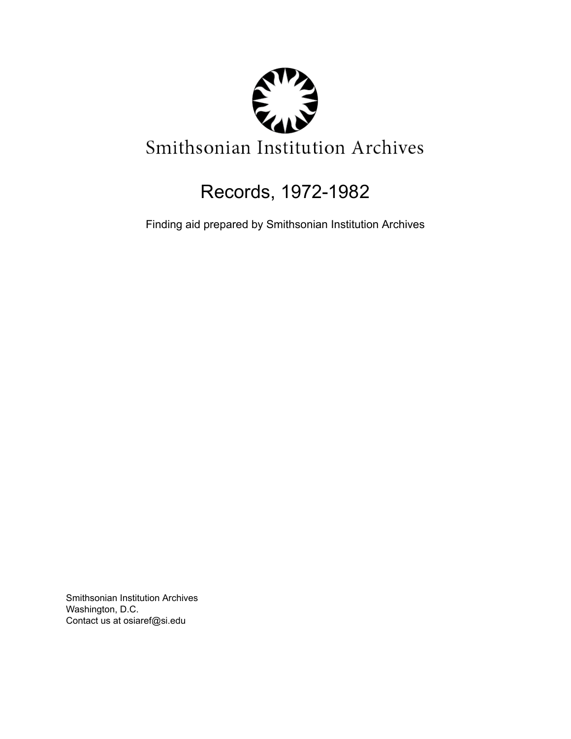

# Records, 1972-1982

Finding aid prepared by Smithsonian Institution Archives

Smithsonian Institution Archives Washington, D.C. Contact us at osiaref@si.edu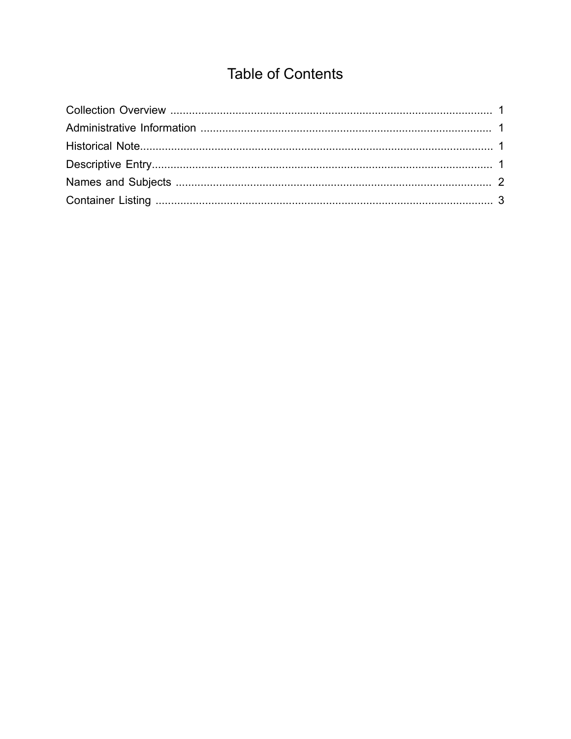## **Table of Contents**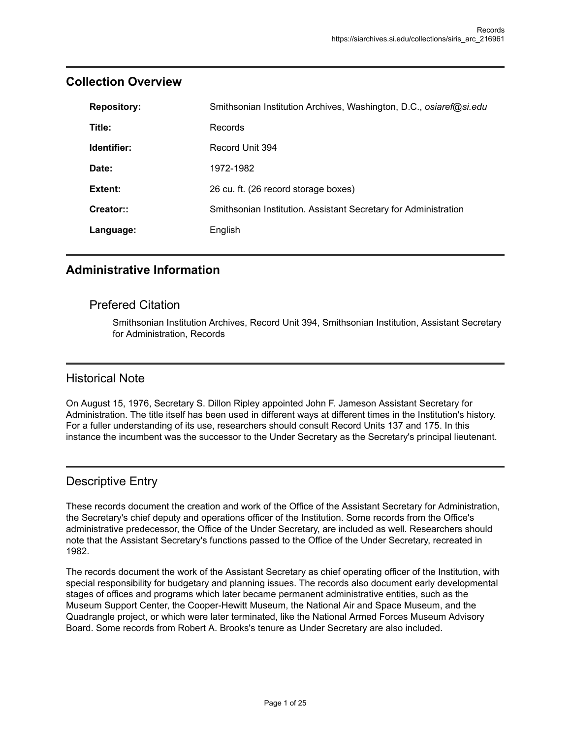| <b>Repository:</b> | Smithsonian Institution Archives, Washington, D.C., osiaref@si.edu |
|--------------------|--------------------------------------------------------------------|
| Title:             | Records                                                            |
| Identifier:        | Record Unit 394                                                    |
| Date:              | 1972-1982                                                          |
| Extent:            | 26 cu. ft. (26 record storage boxes)                               |
| Creator::          | Smithsonian Institution. Assistant Secretary for Administration    |
| Language:          | English                                                            |

## <span id="page-2-0"></span>**Collection Overview**

## <span id="page-2-1"></span>**Administrative Information**

### Prefered Citation

Smithsonian Institution Archives, Record Unit 394, Smithsonian Institution, Assistant Secretary for Administration, Records

### <span id="page-2-2"></span>Historical Note

On August 15, 1976, Secretary S. Dillon Ripley appointed John F. Jameson Assistant Secretary for Administration. The title itself has been used in different ways at different times in the Institution's history. For a fuller understanding of its use, researchers should consult Record Units 137 and 175. In this instance the incumbent was the successor to the Under Secretary as the Secretary's principal lieutenant.

## <span id="page-2-3"></span>Descriptive Entry

These records document the creation and work of the Office of the Assistant Secretary for Administration, the Secretary's chief deputy and operations officer of the Institution. Some records from the Office's administrative predecessor, the Office of the Under Secretary, are included as well. Researchers should note that the Assistant Secretary's functions passed to the Office of the Under Secretary, recreated in 1982.

The records document the work of the Assistant Secretary as chief operating officer of the Institution, with special responsibility for budgetary and planning issues. The records also document early developmental stages of offices and programs which later became permanent administrative entities, such as the Museum Support Center, the Cooper-Hewitt Museum, the National Air and Space Museum, and the Quadrangle project, or which were later terminated, like the National Armed Forces Museum Advisory Board. Some records from Robert A. Brooks's tenure as Under Secretary are also included.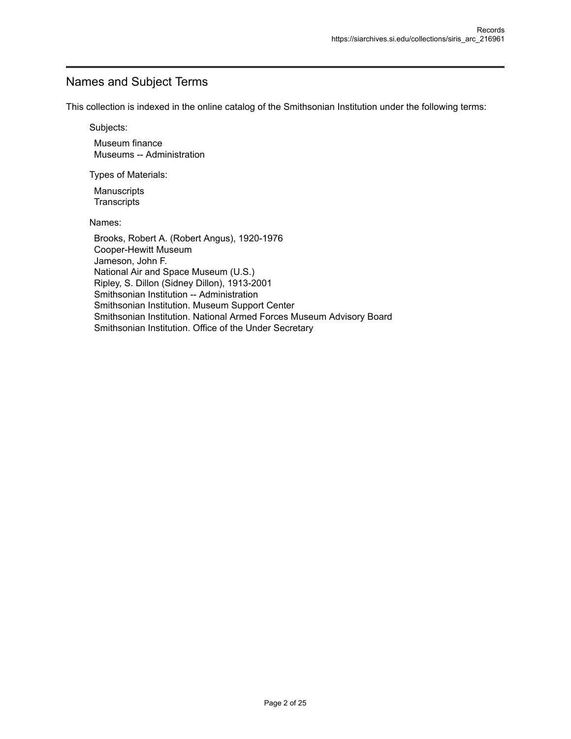## <span id="page-3-0"></span>Names and Subject Terms

This collection is indexed in the online catalog of the Smithsonian Institution under the following terms:

Subjects:

Museum finance Museums -- Administration

Types of Materials:

**Manuscripts Transcripts** 

Names:

Brooks, Robert A. (Robert Angus), 1920-1976 Cooper-Hewitt Museum Jameson, John F. National Air and Space Museum (U.S.) Ripley, S. Dillon (Sidney Dillon), 1913-2001 Smithsonian Institution -- Administration Smithsonian Institution. Museum Support Center Smithsonian Institution. National Armed Forces Museum Advisory Board Smithsonian Institution. Office of the Under Secretary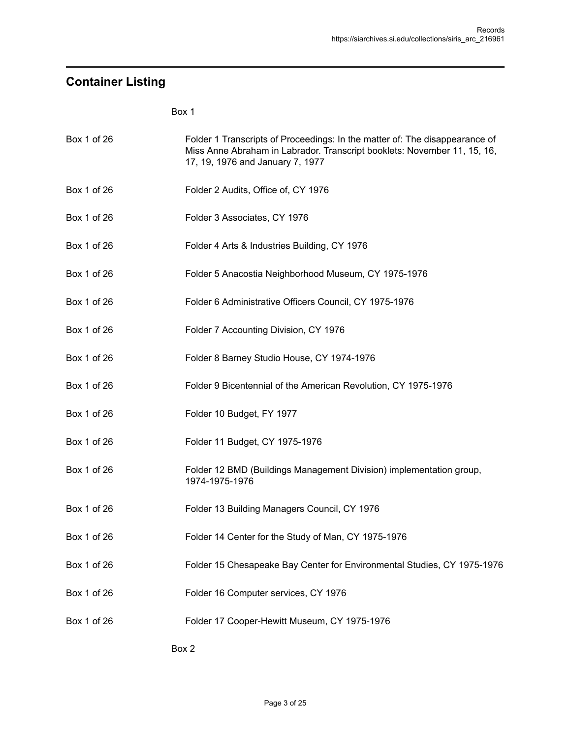## <span id="page-4-0"></span>**Container Listing**

| Box 1 of 26 | Folder 1 Transcripts of Proceedings: In the matter of: The disappearance of<br>Miss Anne Abraham in Labrador. Transcript booklets: November 11, 15, 16,<br>17, 19, 1976 and January 7, 1977 |
|-------------|---------------------------------------------------------------------------------------------------------------------------------------------------------------------------------------------|
| Box 1 of 26 | Folder 2 Audits, Office of, CY 1976                                                                                                                                                         |
| Box 1 of 26 | Folder 3 Associates, CY 1976                                                                                                                                                                |
| Box 1 of 26 | Folder 4 Arts & Industries Building, CY 1976                                                                                                                                                |
| Box 1 of 26 | Folder 5 Anacostia Neighborhood Museum, CY 1975-1976                                                                                                                                        |
| Box 1 of 26 | Folder 6 Administrative Officers Council, CY 1975-1976                                                                                                                                      |
| Box 1 of 26 | Folder 7 Accounting Division, CY 1976                                                                                                                                                       |
| Box 1 of 26 | Folder 8 Barney Studio House, CY 1974-1976                                                                                                                                                  |
| Box 1 of 26 | Folder 9 Bicentennial of the American Revolution, CY 1975-1976                                                                                                                              |
| Box 1 of 26 | Folder 10 Budget, FY 1977                                                                                                                                                                   |
| Box 1 of 26 | Folder 11 Budget, CY 1975-1976                                                                                                                                                              |
| Box 1 of 26 | Folder 12 BMD (Buildings Management Division) implementation group,<br>1974-1975-1976                                                                                                       |
| Box 1 of 26 | Folder 13 Building Managers Council, CY 1976                                                                                                                                                |
| Box 1 of 26 | Folder 14 Center for the Study of Man, CY 1975-1976                                                                                                                                         |
| Box 1 of 26 | Folder 15 Chesapeake Bay Center for Environmental Studies, CY 1975-1976                                                                                                                     |
| Box 1 of 26 | Folder 16 Computer services, CY 1976                                                                                                                                                        |
| Box 1 of 26 | Folder 17 Cooper-Hewitt Museum, CY 1975-1976                                                                                                                                                |
|             | Box 2                                                                                                                                                                                       |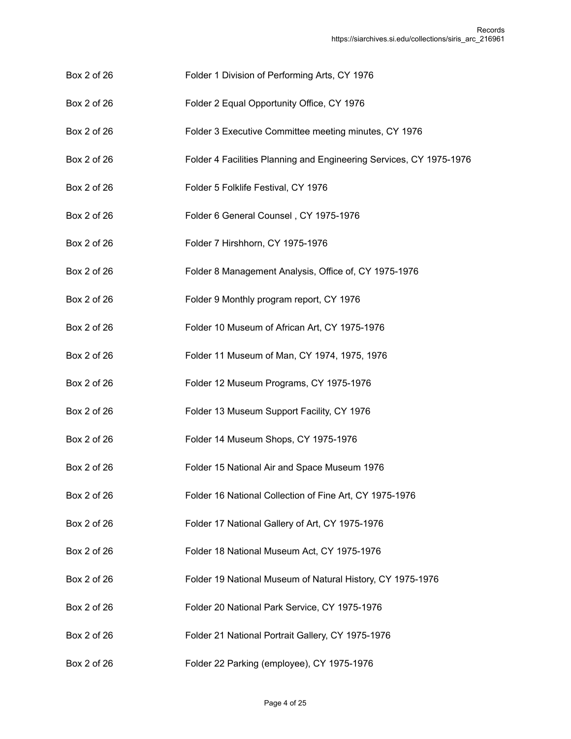- Box 2 of 26 Folder 1 Division of Performing Arts, CY 1976
- Box 2 of 26 Folder 2 Equal Opportunity Office, CY 1976
- Box 2 of 26 Folder 3 Executive Committee meeting minutes, CY 1976
- Box 2 of 26 Folder 4 Facilities Planning and Engineering Services, CY 1975-1976
- Box 2 of 26 Folder 5 Folklife Festival, CY 1976
- Box 2 of 26 Folder 6 General Counsel, CY 1975-1976
- Box 2 of 26 Folder 7 Hirshhorn, CY 1975-1976
- Box 2 of 26 Folder 8 Management Analysis, Office of, CY 1975-1976
- Box 2 of 26 Folder 9 Monthly program report, CY 1976
- Box 2 of 26 Folder 10 Museum of African Art, CY 1975-1976
- Box 2 of 26 Folder 11 Museum of Man, CY 1974, 1975, 1976
- Box 2 of 26 Folder 12 Museum Programs, CY 1975-1976
- Box 2 of 26 Folder 13 Museum Support Facility, CY 1976
- Box 2 of 26 Folder 14 Museum Shops, CY 1975-1976
- Box 2 of 26 Folder 15 National Air and Space Museum 1976
- Box 2 of 26 Folder 16 National Collection of Fine Art, CY 1975-1976
- Box 2 of 26 Folder 17 National Gallery of Art, CY 1975-1976
- Box 2 of 26 Folder 18 National Museum Act, CY 1975-1976
- Box 2 of 26 Folder 19 National Museum of Natural History, CY 1975-1976
- Box 2 of 26 Folder 20 National Park Service, CY 1975-1976
- Box 2 of 26 Folder 21 National Portrait Gallery, CY 1975-1976
- Box 2 of 26 Folder 22 Parking (employee), CY 1975-1976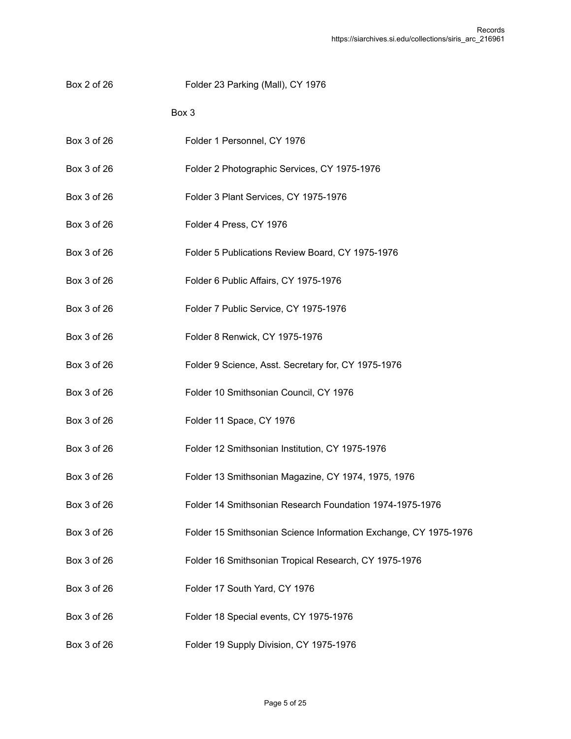Box 2 of 26 Folder 23 Parking (Mall), CY 1976

- Box 3 of 26 Folder 1 Personnel, CY 1976
- Box 3 of 26 Folder 2 Photographic Services, CY 1975-1976
- Box 3 of 26 Folder 3 Plant Services, CY 1975-1976
- Box 3 of 26 Folder 4 Press, CY 1976
- Box 3 of 26 Folder 5 Publications Review Board, CY 1975-1976
- Box 3 of 26 Folder 6 Public Affairs, CY 1975-1976
- Box 3 of 26 Folder 7 Public Service, CY 1975-1976
- Box 3 of 26 Folder 8 Renwick, CY 1975-1976
- Box 3 of 26 Folder 9 Science, Asst. Secretary for, CY 1975-1976
- Box 3 of 26 Folder 10 Smithsonian Council, CY 1976
- Box 3 of 26 Folder 11 Space, CY 1976
- Box 3 of 26 Folder 12 Smithsonian Institution, CY 1975-1976
- Box 3 of 26 Folder 13 Smithsonian Magazine, CY 1974, 1975, 1976
- Box 3 of 26 Folder 14 Smithsonian Research Foundation 1974-1975-1976
- Box 3 of 26 Folder 15 Smithsonian Science Information Exchange, CY 1975-1976
- Box 3 of 26 Folder 16 Smithsonian Tropical Research, CY 1975-1976
- Box 3 of 26 Folder 17 South Yard, CY 1976
- Box 3 of 26 Folder 18 Special events, CY 1975-1976
- Box 3 of 26 Folder 19 Supply Division, CY 1975-1976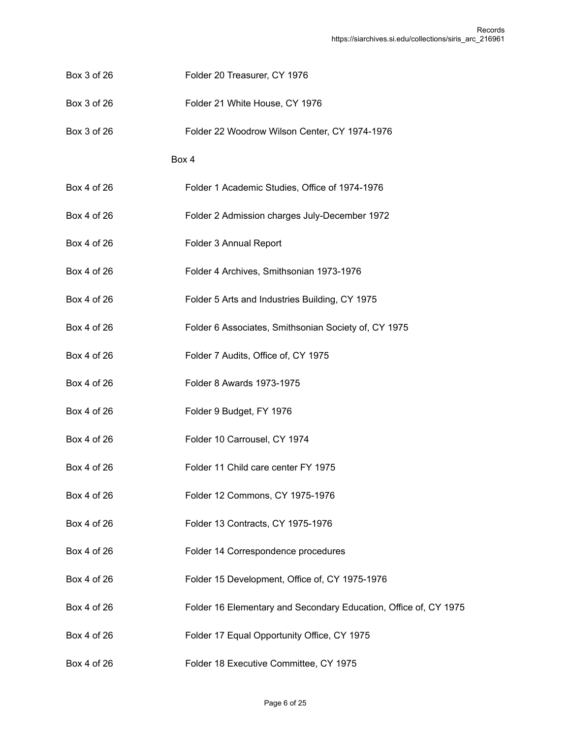- Box 3 of 26 Folder 20 Treasurer, CY 1976
- Box 3 of 26 Folder 21 White House, CY 1976
- Box 3 of 26 Folder 22 Woodrow Wilson Center, CY 1974-1976

- Box 4 of 26 Folder 1 Academic Studies, Office of 1974-1976
- Box 4 of 26 Folder 2 Admission charges July-December 1972
- Box 4 of 26 Folder 3 Annual Report
- Box 4 of 26 Folder 4 Archives, Smithsonian 1973-1976
- Box 4 of 26 Folder 5 Arts and Industries Building, CY 1975
- Box 4 of 26 Folder 6 Associates, Smithsonian Society of, CY 1975
- Box 4 of 26 Folder 7 Audits, Office of, CY 1975
- Box 4 of 26 Folder 8 Awards 1973-1975
- Box 4 of 26 Folder 9 Budget, FY 1976
- Box 4 of 26 Folder 10 Carrousel, CY 1974
- Box 4 of 26 Folder 11 Child care center FY 1975
- Box 4 of 26 Folder 12 Commons, CY 1975-1976
- Box 4 of 26 Folder 13 Contracts, CY 1975-1976
- Box 4 of 26 Folder 14 Correspondence procedures
- Box 4 of 26 Folder 15 Development, Office of, CY 1975-1976
- Box 4 of 26 Folder 16 Elementary and Secondary Education, Office of, CY 1975
- Box 4 of 26 Folder 17 Equal Opportunity Office, CY 1975
- Box 4 of 26 Folder 18 Executive Committee, CY 1975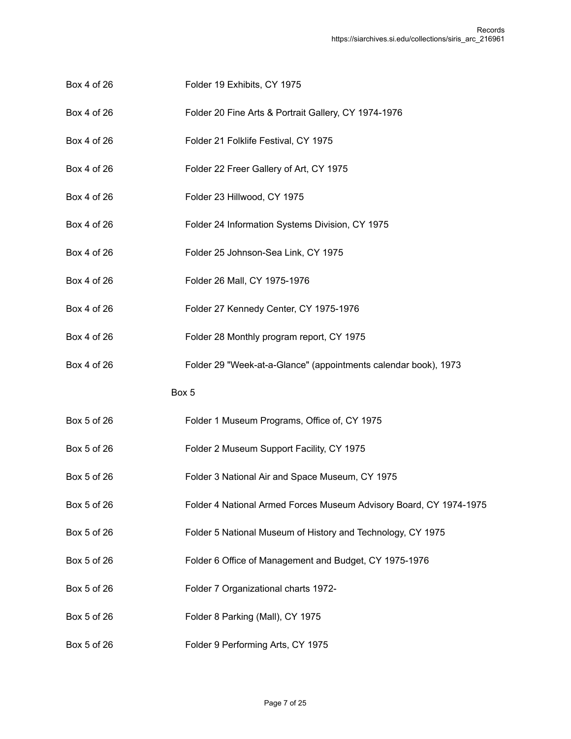- Box 4 of 26 Folder 19 Exhibits, CY 1975
- Box 4 of 26 Folder 20 Fine Arts & Portrait Gallery, CY 1974-1976
- Box 4 of 26 Folder 21 Folklife Festival, CY 1975
- Box 4 of 26 Folder 22 Freer Gallery of Art, CY 1975
- Box 4 of 26 Folder 23 Hillwood, CY 1975
- Box 4 of 26 Folder 24 Information Systems Division, CY 1975
- Box 4 of 26 Folder 25 Johnson-Sea Link, CY 1975
- Box 4 of 26 Folder 26 Mall, CY 1975-1976
- Box 4 of 26 Folder 27 Kennedy Center, CY 1975-1976
- Box 4 of 26 Folder 28 Monthly program report, CY 1975
- Box 4 of 26 Folder 29 "Week-at-a-Glance" (appointments calendar book), 1973

- Box 5 of 26 Folder 1 Museum Programs, Office of, CY 1975
- Box 5 of 26 Folder 2 Museum Support Facility, CY 1975
- Box 5 of 26 Folder 3 National Air and Space Museum, CY 1975
- Box 5 of 26 Folder 4 National Armed Forces Museum Advisory Board, CY 1974-1975
- Box 5 of 26 Folder 5 National Museum of History and Technology, CY 1975
- Box 5 of 26 Folder 6 Office of Management and Budget, CY 1975-1976
- Box 5 of 26 Folder 7 Organizational charts 1972-
- Box 5 of 26 Folder 8 Parking (Mall), CY 1975
- Box 5 of 26 Folder 9 Performing Arts, CY 1975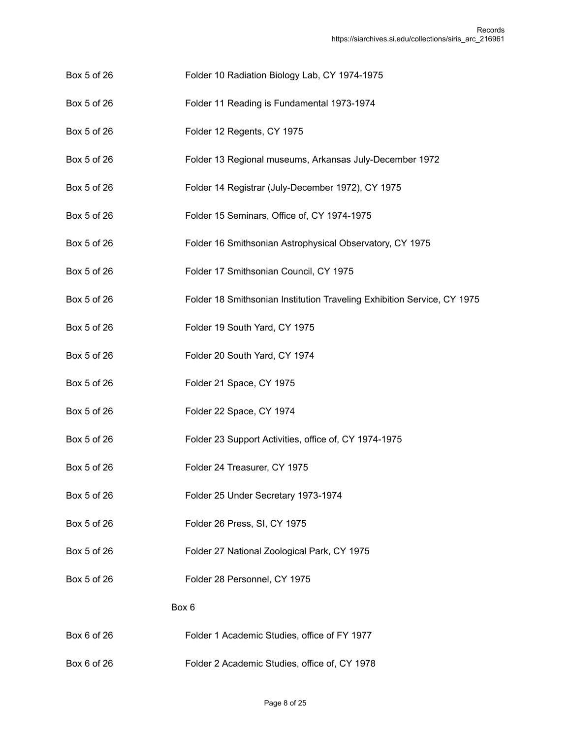- Box 5 of 26 Folder 10 Radiation Biology Lab, CY 1974-1975
- Box 5 of 26 Folder 11 Reading is Fundamental 1973-1974
- Box 5 of 26 Folder 12 Regents, CY 1975
- Box 5 of 26 Folder 13 Regional museums, Arkansas July-December 1972
- Box 5 of 26 Folder 14 Registrar (July-December 1972), CY 1975
- Box 5 of 26 Folder 15 Seminars, Office of, CY 1974-1975
- Box 5 of 26 Folder 16 Smithsonian Astrophysical Observatory, CY 1975
- Box 5 of 26 Folder 17 Smithsonian Council, CY 1975
- Box 5 of 26 Folder 18 Smithsonian Institution Traveling Exhibition Service, CY 1975
- Box 5 of 26 Folder 19 South Yard, CY 1975
- Box 5 of 26 Folder 20 South Yard, CY 1974
- Box 5 of 26 Folder 21 Space, CY 1975
- Box 5 of 26 Folder 22 Space, CY 1974
- Box 5 of 26 Folder 23 Support Activities, office of, CY 1974-1975
- Box 5 of 26 Folder 24 Treasurer, CY 1975
- Box 5 of 26 Folder 25 Under Secretary 1973-1974
- Box 5 of 26 Folder 26 Press, SI, CY 1975
- Box 5 of 26 Folder 27 National Zoological Park, CY 1975
- Box 5 of 26 Folder 28 Personnel, CY 1975

- Box 6 of 26 Folder 1 Academic Studies, office of FY 1977
- Box 6 of 26 Folder 2 Academic Studies, office of, CY 1978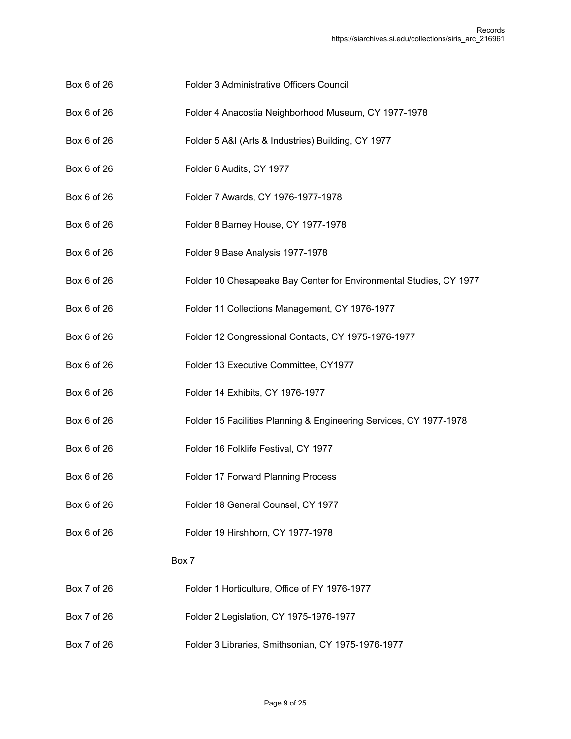- Box 6 of 26 Folder 3 Administrative Officers Council
- Box 6 of 26 Folder 4 Anacostia Neighborhood Museum, CY 1977-1978
- Box 6 of 26 Folder 5 A&I (Arts & Industries) Building, CY 1977
- Box 6 of 26 Folder 6 Audits, CY 1977
- Box 6 of 26 Folder 7 Awards, CY 1976-1977-1978
- Box 6 of 26 Folder 8 Barney House, CY 1977-1978
- Box 6 of 26 Folder 9 Base Analysis 1977-1978
- Box 6 of 26 Folder 10 Chesapeake Bay Center for Environmental Studies, CY 1977
- Box 6 of 26 Folder 11 Collections Management, CY 1976-1977
- Box 6 of 26 Folder 12 Congressional Contacts, CY 1975-1976-1977
- Box 6 of 26 Folder 13 Executive Committee, CY1977
- Box 6 of 26 Folder 14 Exhibits, CY 1976-1977
- Box 6 of 26 Folder 15 Facilities Planning & Engineering Services, CY 1977-1978
- Box 6 of 26 Folder 16 Folklife Festival, CY 1977
- Box 6 of 26 Folder 17 Forward Planning Process
- Box 6 of 26 Folder 18 General Counsel, CY 1977
- Box 6 of 26 Folder 19 Hirshhorn, CY 1977-1978

- Box 7 of 26 Folder 1 Horticulture, Office of FY 1976-1977
- Box 7 of 26 Folder 2 Legislation, CY 1975-1976-1977
- Box 7 of 26 Folder 3 Libraries, Smithsonian, CY 1975-1976-1977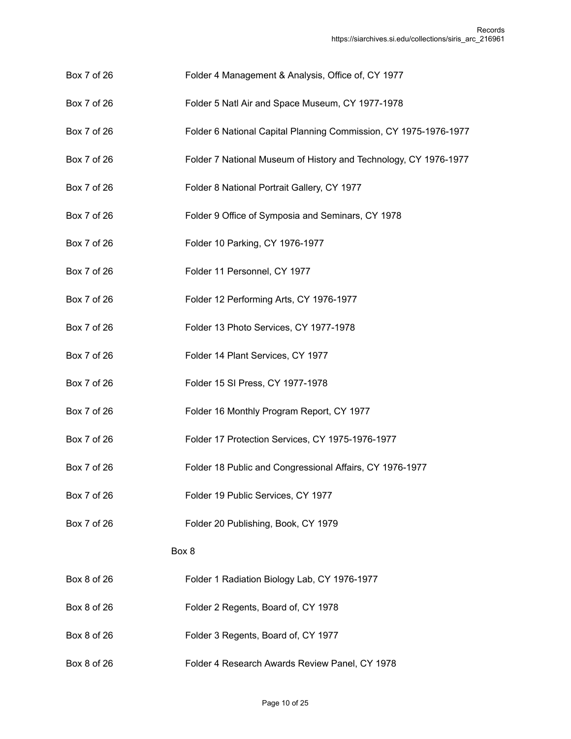- Box 7 of 26 Folder 4 Management & Analysis, Office of, CY 1977
- Box 7 of 26 Folder 5 Natl Air and Space Museum, CY 1977-1978
- Box 7 of 26 Folder 6 National Capital Planning Commission, CY 1975-1976-1977
- Box 7 of 26 Folder 7 National Museum of History and Technology, CY 1976-1977
- Box 7 of 26 Folder 8 National Portrait Gallery, CY 1977
- Box 7 of 26 Folder 9 Office of Symposia and Seminars, CY 1978
- Box 7 of 26 Folder 10 Parking, CY 1976-1977
- Box 7 of 26 Folder 11 Personnel, CY 1977
- Box 7 of 26 Folder 12 Performing Arts, CY 1976-1977
- Box 7 of 26 Folder 13 Photo Services, CY 1977-1978
- Box 7 of 26 Folder 14 Plant Services, CY 1977
- Box 7 of 26 Folder 15 SI Press, CY 1977-1978
- Box 7 of 26 Folder 16 Monthly Program Report, CY 1977
- Box 7 of 26 Folder 17 Protection Services, CY 1975-1976-1977
- Box 7 of 26 Folder 18 Public and Congressional Affairs, CY 1976-1977
- Box 7 of 26 Folder 19 Public Services, CY 1977
- Box 7 of 26 Folder 20 Publishing, Book, CY 1979

- Box 8 of 26 Folder 1 Radiation Biology Lab, CY 1976-1977
- Box 8 of 26 Folder 2 Regents, Board of, CY 1978
- Box 8 of 26 Folder 3 Regents, Board of, CY 1977
- Box 8 of 26 Folder 4 Research Awards Review Panel, CY 1978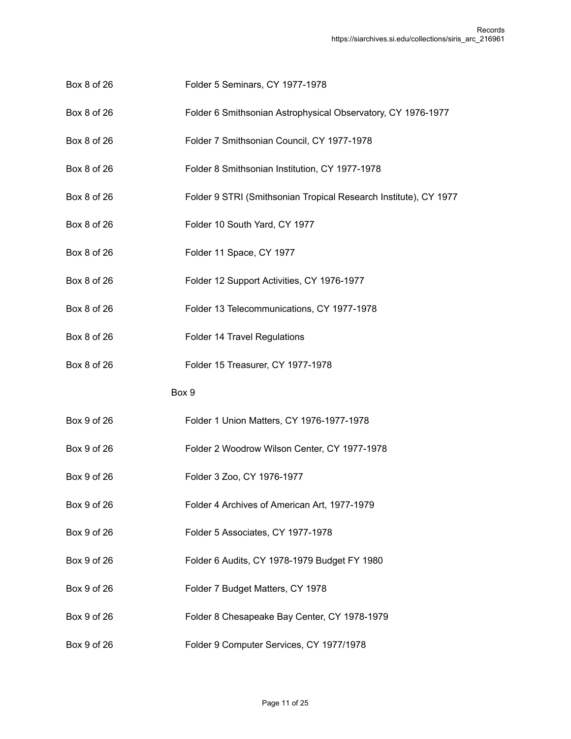- Box 8 of 26 Folder 5 Seminars, CY 1977-1978
- Box 8 of 26 Folder 6 Smithsonian Astrophysical Observatory, CY 1976-1977
- Box 8 of 26 Folder 7 Smithsonian Council, CY 1977-1978
- Box 8 of 26 Folder 8 Smithsonian Institution, CY 1977-1978
- Box 8 of 26 Folder 9 STRI (Smithsonian Tropical Research Institute), CY 1977
- Box 8 of 26 Folder 10 South Yard, CY 1977
- Box 8 of 26 Folder 11 Space, CY 1977
- Box 8 of 26 Folder 12 Support Activities, CY 1976-1977
- Box 8 of 26 Folder 13 Telecommunications, CY 1977-1978
- Box 8 of 26 Folder 14 Travel Regulations
- Box 8 of 26 Folder 15 Treasurer, CY 1977-1978

- Box 9 of 26 Folder 1 Union Matters, CY 1976-1977-1978
- Box 9 of 26 Folder 2 Woodrow Wilson Center, CY 1977-1978
- Box 9 of 26 Folder 3 Zoo, CY 1976-1977
- Box 9 of 26 Folder 4 Archives of American Art, 1977-1979
- Box 9 of 26 Folder 5 Associates, CY 1977-1978
- Box 9 of 26 Folder 6 Audits, CY 1978-1979 Budget FY 1980
- Box 9 of 26 Folder 7 Budget Matters, CY 1978
- Box 9 of 26 Folder 8 Chesapeake Bay Center, CY 1978-1979
- Box 9 of 26 Folder 9 Computer Services, CY 1977/1978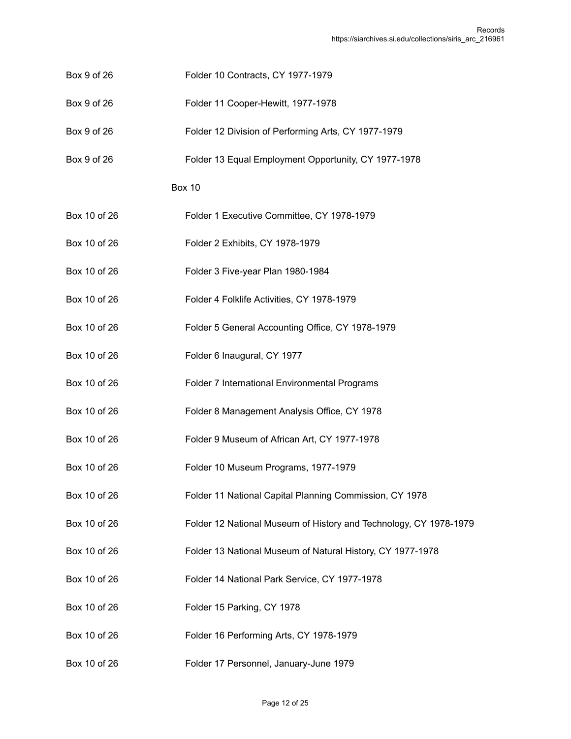- Box 9 of 26 Folder 10 Contracts, CY 1977-1979
- Box 9 of 26 Folder 11 Cooper-Hewitt, 1977-1978
- Box 9 of 26 Folder 12 Division of Performing Arts, CY 1977-1979
- Box 9 of 26 Folder 13 Equal Employment Opportunity, CY 1977-1978

- Box 10 of 26 Folder 1 Executive Committee, CY 1978-1979
- Box 10 of 26 Folder 2 Exhibits, CY 1978-1979
- Box 10 of 26 Folder 3 Five-year Plan 1980-1984
- Box 10 of 26 Folder 4 Folklife Activities, CY 1978-1979
- Box 10 of 26 Folder 5 General Accounting Office, CY 1978-1979
- Box 10 of 26 Folder 6 Inaugural, CY 1977
- Box 10 of 26 Folder 7 International Environmental Programs
- Box 10 of 26 Folder 8 Management Analysis Office, CY 1978
- Box 10 of 26 Folder 9 Museum of African Art, CY 1977-1978
- Box 10 of 26 Folder 10 Museum Programs, 1977-1979
- Box 10 of 26 Folder 11 National Capital Planning Commission, CY 1978
- Box 10 of 26 Folder 12 National Museum of History and Technology, CY 1978-1979
- Box 10 of 26 Folder 13 National Museum of Natural History, CY 1977-1978
- Box 10 of 26 Folder 14 National Park Service, CY 1977-1978
- Box 10 of 26 Folder 15 Parking, CY 1978
- Box 10 of 26 Folder 16 Performing Arts, CY 1978-1979
- Box 10 of 26 Folder 17 Personnel, January-June 1979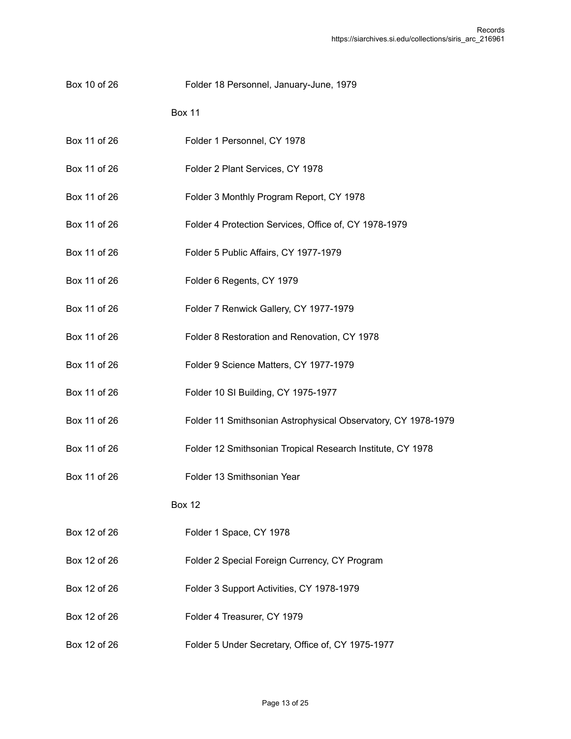Box 10 of 26 Folder 18 Personnel, January-June, 1979

Box 11

- Box 11 of 26 Folder 1 Personnel, CY 1978
- Box 11 of 26 Folder 2 Plant Services, CY 1978
- Box 11 of 26 Folder 3 Monthly Program Report, CY 1978
- Box 11 of 26 Folder 4 Protection Services, Office of, CY 1978-1979
- Box 11 of 26 Folder 5 Public Affairs, CY 1977-1979
- Box 11 of 26 Folder 6 Regents, CY 1979
- Box 11 of 26 Folder 7 Renwick Gallery, CY 1977-1979
- Box 11 of 26 Folder 8 Restoration and Renovation, CY 1978
- Box 11 of 26 Folder 9 Science Matters, CY 1977-1979
- Box 11 of 26 Folder 10 SI Building, CY 1975-1977
- Box 11 of 26 Folder 11 Smithsonian Astrophysical Observatory, CY 1978-1979
- Box 11 of 26 Folder 12 Smithsonian Tropical Research Institute, CY 1978
- Box 11 of 26 Folder 13 Smithsonian Year

- Box 12 of 26 Folder 1 Space, CY 1978
- Box 12 of 26 Folder 2 Special Foreign Currency, CY Program
- Box 12 of 26 Folder 3 Support Activities, CY 1978-1979
- Box 12 of 26 Folder 4 Treasurer, CY 1979
- Box 12 of 26 Folder 5 Under Secretary, Office of, CY 1975-1977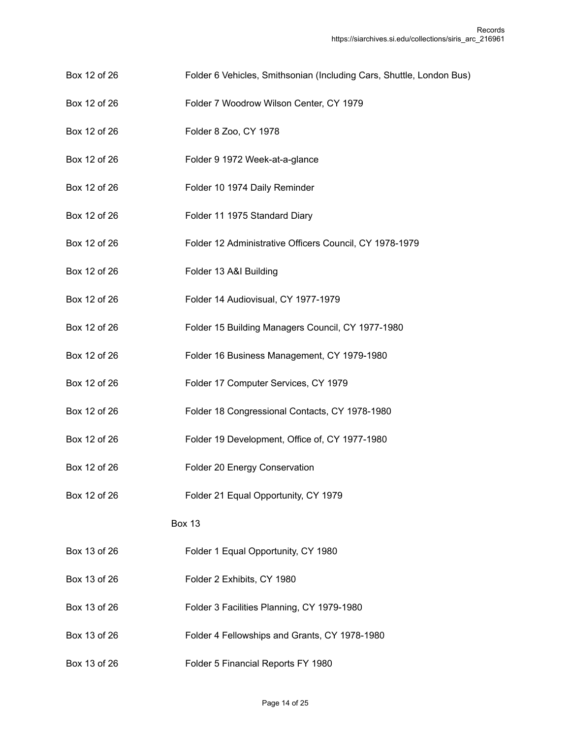- Box 12 of 26 Folder 6 Vehicles, Smithsonian (Including Cars, Shuttle, London Bus)
- Box 12 of 26 Folder 7 Woodrow Wilson Center, CY 1979
- Box 12 of 26 Folder 8 Zoo, CY 1978
- Box 12 of 26 Folder 9 1972 Week-at-a-glance
- Box 12 of 26 Folder 10 1974 Daily Reminder
- Box 12 of 26 Folder 11 1975 Standard Diary
- Box 12 of 26 Folder 12 Administrative Officers Council, CY 1978-1979
- Box 12 of 26 Folder 13 A&I Building
- Box 12 of 26 Folder 14 Audiovisual, CY 1977-1979
- Box 12 of 26 Folder 15 Building Managers Council, CY 1977-1980
- Box 12 of 26 Folder 16 Business Management, CY 1979-1980
- Box 12 of 26 Folder 17 Computer Services, CY 1979
- Box 12 of 26 Folder 18 Congressional Contacts, CY 1978-1980
- Box 12 of 26 Folder 19 Development, Office of, CY 1977-1980
- Box 12 of 26 Folder 20 Energy Conservation
- Box 12 of 26 Folder 21 Equal Opportunity, CY 1979

- Box 13 of 26 Folder 1 Equal Opportunity, CY 1980
- Box 13 of 26 Folder 2 Exhibits, CY 1980
- Box 13 of 26 Folder 3 Facilities Planning, CY 1979-1980
- Box 13 of 26 Folder 4 Fellowships and Grants, CY 1978-1980
- Box 13 of 26 Folder 5 Financial Reports FY 1980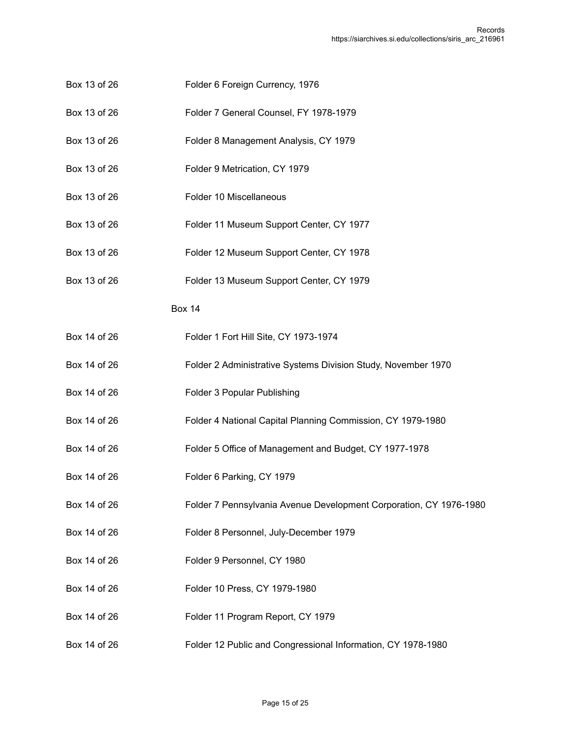- Box 13 of 26 Folder 6 Foreign Currency, 1976
- Box 13 of 26 Folder 7 General Counsel, FY 1978-1979
- Box 13 of 26 Folder 8 Management Analysis, CY 1979
- Box 13 of 26 Folder 9 Metrication, CY 1979
- Box 13 of 26 Folder 10 Miscellaneous
- Box 13 of 26 Folder 11 Museum Support Center, CY 1977
- Box 13 of 26 Folder 12 Museum Support Center, CY 1978
- Box 13 of 26 Folder 13 Museum Support Center, CY 1979

- Box 14 of 26 Folder 1 Fort Hill Site, CY 1973-1974
- Box 14 of 26 Folder 2 Administrative Systems Division Study, November 1970
- Box 14 of 26 Folder 3 Popular Publishing
- Box 14 of 26 Folder 4 National Capital Planning Commission, CY 1979-1980
- Box 14 of 26 Folder 5 Office of Management and Budget, CY 1977-1978
- Box 14 of 26 Folder 6 Parking, CY 1979
- Box 14 of 26 Folder 7 Pennsylvania Avenue Development Corporation, CY 1976-1980
- Box 14 of 26 Folder 8 Personnel, July-December 1979
- Box 14 of 26 Folder 9 Personnel, CY 1980
- Box 14 of 26 Folder 10 Press, CY 1979-1980
- Box 14 of 26 Folder 11 Program Report, CY 1979
- Box 14 of 26 Folder 12 Public and Congressional Information, CY 1978-1980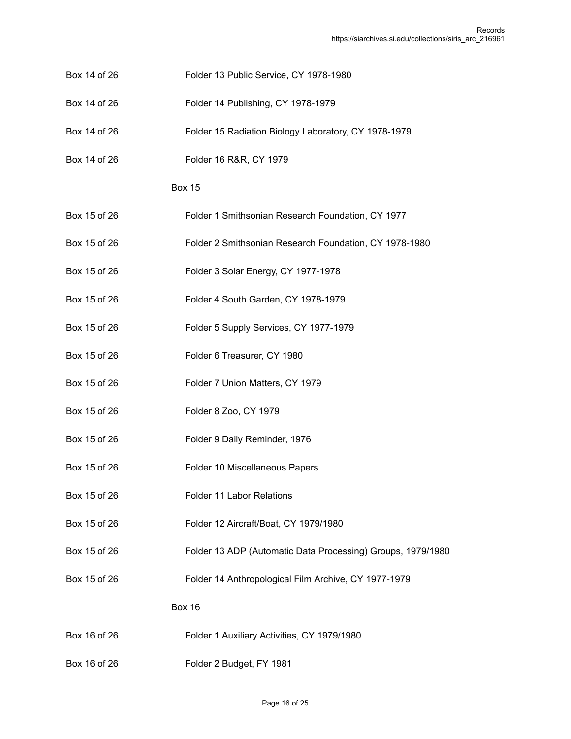- Box 14 of 26 Folder 13 Public Service, CY 1978-1980
- Box 14 of 26 Folder 14 Publishing, CY 1978-1979
- Box 14 of 26 Folder 15 Radiation Biology Laboratory, CY 1978-1979
- Box 14 of 26 Folder 16 R&R, CY 1979

- Box 15 of 26 Folder 1 Smithsonian Research Foundation, CY 1977
- Box 15 of 26 Folder 2 Smithsonian Research Foundation, CY 1978-1980
- Box 15 of 26 Folder 3 Solar Energy, CY 1977-1978
- Box 15 of 26 Folder 4 South Garden, CY 1978-1979
- Box 15 of 26 Folder 5 Supply Services, CY 1977-1979
- Box 15 of 26 Folder 6 Treasurer, CY 1980
- Box 15 of 26 Folder 7 Union Matters, CY 1979
- Box 15 of 26 Folder 8 Zoo, CY 1979
- Box 15 of 26 Folder 9 Daily Reminder, 1976
- Box 15 of 26 Folder 10 Miscellaneous Papers
- Box 15 of 26 Folder 11 Labor Relations
- Box 15 of 26 Folder 12 Aircraft/Boat, CY 1979/1980
- Box 15 of 26 Folder 13 ADP (Automatic Data Processing) Groups, 1979/1980
- Box 15 of 26 Folder 14 Anthropological Film Archive, CY 1977-1979

- Box 16 of 26 Folder 1 Auxiliary Activities, CY 1979/1980
- Box 16 of 26 Folder 2 Budget, FY 1981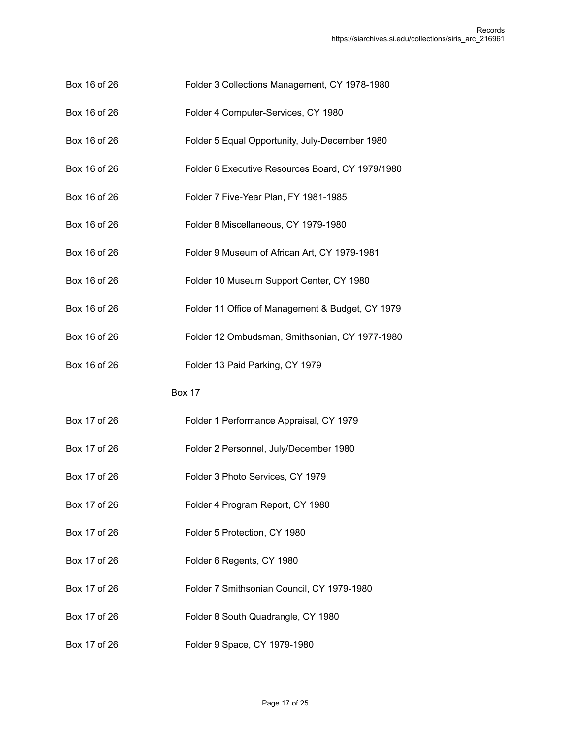- Box 16 of 26 Folder 3 Collections Management, CY 1978-1980
- Box 16 of 26 Folder 4 Computer-Services, CY 1980
- Box 16 of 26 Folder 5 Equal Opportunity, July-December 1980
- Box 16 of 26 Folder 6 Executive Resources Board, CY 1979/1980
- Box 16 of 26 Folder 7 Five-Year Plan, FY 1981-1985
- Box 16 of 26 Folder 8 Miscellaneous, CY 1979-1980
- Box 16 of 26 Folder 9 Museum of African Art, CY 1979-1981
- Box 16 of 26 Folder 10 Museum Support Center, CY 1980
- Box 16 of 26 Folder 11 Office of Management & Budget, CY 1979
- Box 16 of 26 Folder 12 Ombudsman, Smithsonian, CY 1977-1980
- Box 16 of 26 Folder 13 Paid Parking, CY 1979

- Box 17 of 26 Folder 1 Performance Appraisal, CY 1979
- Box 17 of 26 Folder 2 Personnel, July/December 1980
- Box 17 of 26 Folder 3 Photo Services, CY 1979
- Box 17 of 26 Folder 4 Program Report, CY 1980
- Box 17 of 26 Folder 5 Protection, CY 1980
- Box 17 of 26 Folder 6 Regents, CY 1980
- Box 17 of 26 Folder 7 Smithsonian Council, CY 1979-1980
- Box 17 of 26 Folder 8 South Quadrangle, CY 1980
- Box 17 of 26 Folder 9 Space, CY 1979-1980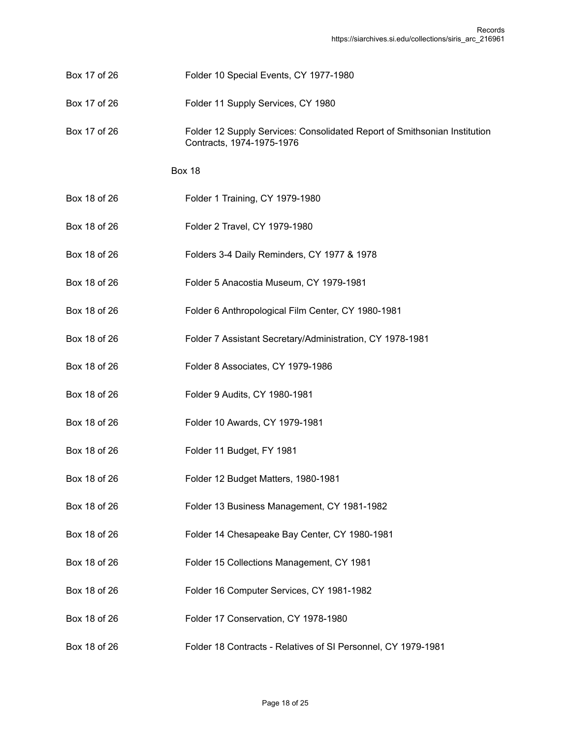- Box 17 of 26 Folder 10 Special Events, CY 1977-1980
- Box 17 of 26 Folder 11 Supply Services, CY 1980
- Box 17 of 26 Folder 12 Supply Services: Consolidated Report of Smithsonian Institution Contracts, 1974-1975-1976

- Box 18 of 26 Folder 1 Training, CY 1979-1980
- Box 18 of 26 Folder 2 Travel, CY 1979-1980
- Box 18 of 26 Folders 3-4 Daily Reminders, CY 1977 & 1978
- Box 18 of 26 Folder 5 Anacostia Museum, CY 1979-1981
- Box 18 of 26 Folder 6 Anthropological Film Center, CY 1980-1981
- Box 18 of 26 Folder 7 Assistant Secretary/Administration, CY 1978-1981
- Box 18 of 26 Folder 8 Associates, CY 1979-1986
- Box 18 of 26 Folder 9 Audits, CY 1980-1981
- Box 18 of 26 Folder 10 Awards, CY 1979-1981
- Box 18 of 26 Folder 11 Budget, FY 1981
- Box 18 of 26 Folder 12 Budget Matters, 1980-1981
- Box 18 of 26 Folder 13 Business Management, CY 1981-1982
- Box 18 of 26 Folder 14 Chesapeake Bay Center, CY 1980-1981
- Box 18 of 26 Folder 15 Collections Management, CY 1981
- Box 18 of 26 Folder 16 Computer Services, CY 1981-1982
- Box 18 of 26 Folder 17 Conservation, CY 1978-1980
- Box 18 of 26 Folder 18 Contracts Relatives of SI Personnel, CY 1979-1981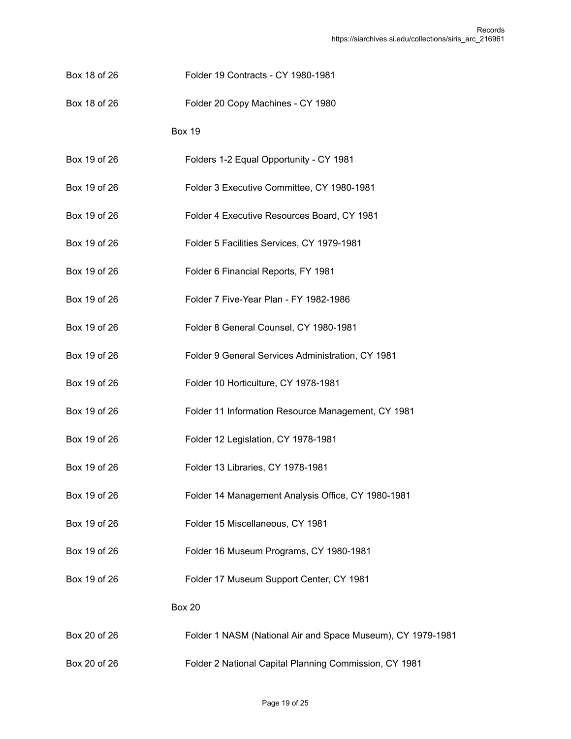- Box 18 of 26 Folder 19 Contracts CY 1980-1981
- Box 18 of 26 Folder 20 Copy Machines CY 1980
	- Box 19
- Box 19 of 26 Folders 1-2 Equal Opportunity CY 1981
- Box 19 of 26 Folder 3 Executive Committee, CY 1980-1981
- Box 19 of 26 Folder 4 Executive Resources Board, CY 1981
- Box 19 of 26 Folder 5 Facilities Services, CY 1979-1981
- Box 19 of 26 Folder 6 Financial Reports, FY 1981
- Box 19 of 26 Folder 7 Five-Year Plan FY 1982-1986
- Box 19 of 26 Folder 8 General Counsel, CY 1980-1981
- Box 19 of 26 Folder 9 General Services Administration, CY 1981
- Box 19 of 26 Folder 10 Horticulture, CY 1978-1981
- Box 19 of 26 Folder 11 Information Resource Management, CY 1981
- Box 19 of 26 Folder 12 Legislation, CY 1978-1981
- Box 19 of 26 Folder 13 Libraries, CY 1978-1981
- Box 19 of 26 Folder 14 Management Analysis Office, CY 1980-1981
- Box 19 of 26 Folder 15 Miscellaneous, CY 1981
- Box 19 of 26 Folder 16 Museum Programs, CY 1980-1981
- Box 19 of 26 Folder 17 Museum Support Center, CY 1981

- Box 20 of 26 Folder 1 NASM (National Air and Space Museum), CY 1979-1981
- Box 20 of 26 Folder 2 National Capital Planning Commission, CY 1981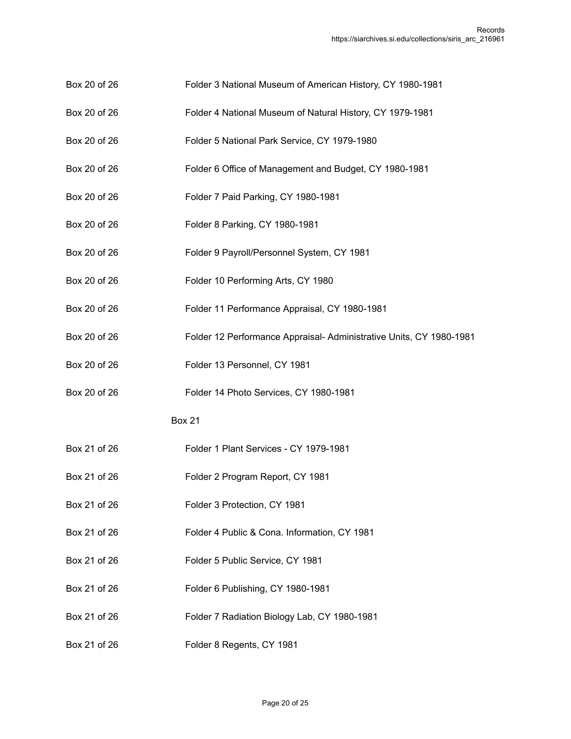- Box 20 of 26 Folder 3 National Museum of American History, CY 1980-1981
- Box 20 of 26 Folder 4 National Museum of Natural History, CY 1979-1981
- Box 20 of 26 Folder 5 National Park Service, CY 1979-1980
- Box 20 of 26 Folder 6 Office of Management and Budget, CY 1980-1981
- Box 20 of 26 Folder 7 Paid Parking, CY 1980-1981
- Box 20 of 26 Folder 8 Parking, CY 1980-1981
- Box 20 of 26 Folder 9 Payroll/Personnel System, CY 1981
- Box 20 of 26 Folder 10 Performing Arts, CY 1980
- Box 20 of 26 Folder 11 Performance Appraisal, CY 1980-1981
- Box 20 of 26 Folder 12 Performance Appraisal- Administrative Units, CY 1980-1981
- Box 20 of 26 Folder 13 Personnel, CY 1981
- Box 20 of 26 Folder 14 Photo Services, CY 1980-1981

- Box 21 of 26 Folder 1 Plant Services CY 1979-1981
- Box 21 of 26 Folder 2 Program Report, CY 1981
- Box 21 of 26 Folder 3 Protection, CY 1981
- Box 21 of 26 Folder 4 Public & Cona. Information, CY 1981
- Box 21 of 26 Folder 5 Public Service, CY 1981
- Box 21 of 26 Folder 6 Publishing, CY 1980-1981
- Box 21 of 26 Folder 7 Radiation Biology Lab, CY 1980-1981
- Box 21 of 26 Folder 8 Regents, CY 1981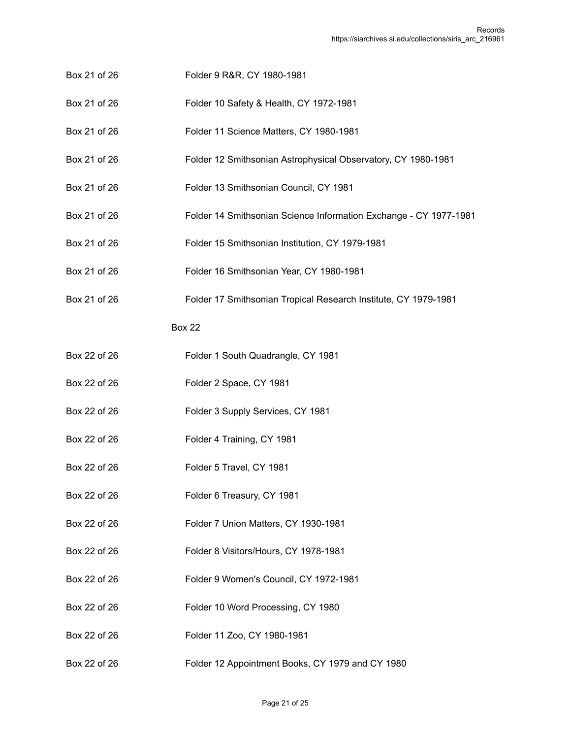- Box 21 of 26 Folder 9 R&R, CY 1980-1981
- Box 21 of 26 Folder 10 Safety & Health, CY 1972-1981
- Box 21 of 26 Folder 11 Science Matters, CY 1980-1981
- Box 21 of 26 Folder 12 Smithsonian Astrophysical Observatory, CY 1980-1981
- Box 21 of 26 Folder 13 Smithsonian Council, CY 1981
- Box 21 of 26 Folder 14 Smithsonian Science Information Exchange CY 1977-1981
- Box 21 of 26 Folder 15 Smithsonian Institution, CY 1979-1981
- Box 21 of 26 Folder 16 Smithsonian Year, CY 1980-1981
- Box 21 of 26 Folder 17 Smithsonian Tropical Research Institute, CY 1979-1981

- Box 22 of 26 Folder 1 South Quadrangle, CY 1981
- Box 22 of 26 Folder 2 Space, CY 1981
- Box 22 of 26 Folder 3 Supply Services, CY 1981
- Box 22 of 26 Folder 4 Training, CY 1981
- Box 22 of 26 Folder 5 Travel, CY 1981
- Box 22 of 26 Folder 6 Treasury, CY 1981
- Box 22 of 26 Folder 7 Union Matters, CY 1930-1981
- Box 22 of 26 Folder 8 Visitors/Hours, CY 1978-1981
- Box 22 of 26 Folder 9 Women's Council, CY 1972-1981
- Box 22 of 26 Folder 10 Word Processing, CY 1980
- Box 22 of 26 Folder 11 Zoo, CY 1980-1981
- Box 22 of 26 Folder 12 Appointment Books, CY 1979 and CY 1980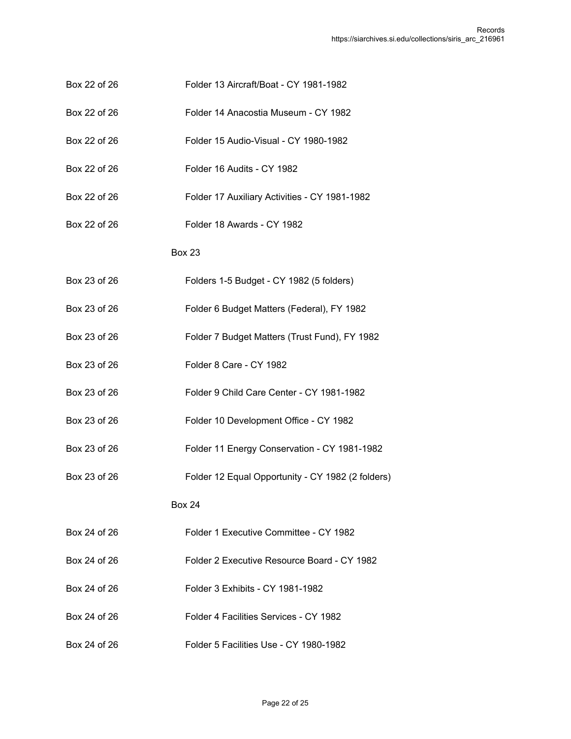- Box 22 of 26 Folder 13 Aircraft/Boat CY 1981-1982
- Box 22 of 26 Folder 14 Anacostia Museum CY 1982
- Box 22 of 26 Folder 15 Audio-Visual CY 1980-1982
- Box 22 of 26 Folder 16 Audits CY 1982
- Box 22 of 26 Folder 17 Auxiliary Activities CY 1981-1982
- Box 22 of 26 Folder 18 Awards CY 1982

- Box 23 of 26 Folders 1-5 Budget CY 1982 (5 folders)
- Box 23 of 26 Folder 6 Budget Matters (Federal), FY 1982
- Box 23 of 26 Folder 7 Budget Matters (Trust Fund), FY 1982
- Box 23 of 26 Folder 8 Care CY 1982
- Box 23 of 26 Folder 9 Child Care Center CY 1981-1982
- Box 23 of 26 Folder 10 Development Office CY 1982
- Box 23 of 26 Folder 11 Energy Conservation CY 1981-1982
- Box 23 of 26 Folder 12 Equal Opportunity CY 1982 (2 folders)

- Box 24 of 26 Folder 1 Executive Committee CY 1982
- Box 24 of 26 Folder 2 Executive Resource Board CY 1982
- Box 24 of 26 Folder 3 Exhibits CY 1981-1982
- Box 24 of 26 Folder 4 Facilities Services CY 1982
- Box 24 of 26 Folder 5 Facilities Use CY 1980-1982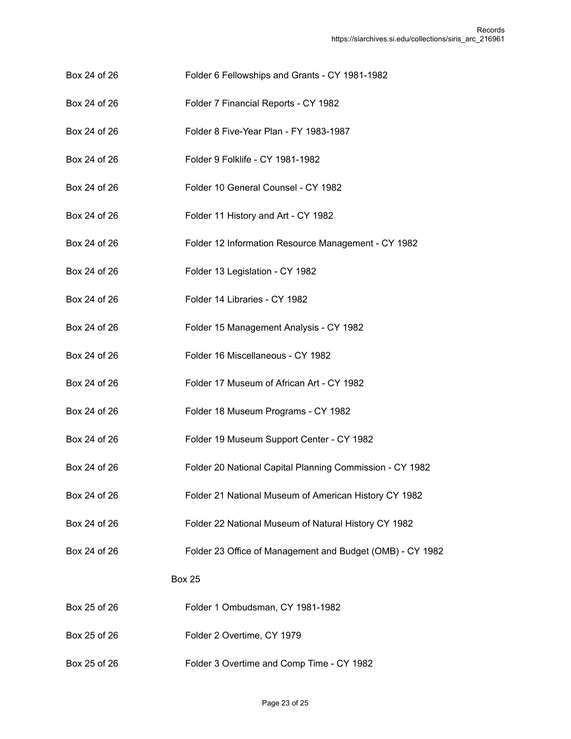- Box 24 of 26 Folder 6 Fellowships and Grants CY 1981-1982
- Box 24 of 26 Folder 7 Financial Reports CY 1982
- Box 24 of 26 Folder 8 Five-Year Plan FY 1983-1987
- Box 24 of 26 Folder 9 Folklife CY 1981-1982
- Box 24 of 26 Folder 10 General Counsel CY 1982
- Box 24 of 26 Folder 11 History and Art CY 1982
- Box 24 of 26 Folder 12 Information Resource Management CY 1982
- Box 24 of 26 Folder 13 Legislation CY 1982
- Box 24 of 26 Folder 14 Libraries CY 1982
- Box 24 of 26 Folder 15 Management Analysis CY 1982
- Box 24 of 26 Folder 16 Miscellaneous CY 1982
- Box 24 of 26 Folder 17 Museum of African Art CY 1982
- Box 24 of 26 Folder 18 Museum Programs CY 1982
- Box 24 of 26 Folder 19 Museum Support Center CY 1982
- Box 24 of 26 Folder 20 National Capital Planning Commission CY 1982
- Box 24 of 26 Folder 21 National Museum of American History CY 1982
- Box 24 of 26 Folder 22 National Museum of Natural History CY 1982
- Box 24 of 26 Folder 23 Office of Management and Budget (OMB) CY 1982

- Box 25 of 26 Folder 1 Ombudsman, CY 1981-1982
- Box 25 of 26 Folder 2 Overtime, CY 1979
- Box 25 of 26 Folder 3 Overtime and Comp Time CY 1982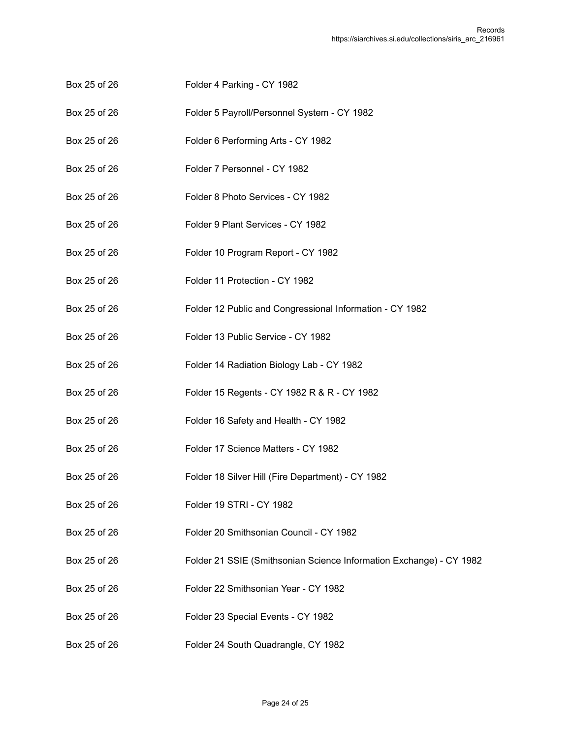- Box 25 of 26 Folder 4 Parking CY 1982
- Box 25 of 26 Folder 5 Payroll/Personnel System CY 1982
- Box 25 of 26 Folder 6 Performing Arts CY 1982
- Box 25 of 26 Folder 7 Personnel CY 1982
- Box 25 of 26 Folder 8 Photo Services CY 1982
- Box 25 of 26 Folder 9 Plant Services CY 1982
- Box 25 of 26 Folder 10 Program Report CY 1982
- Box 25 of 26 Folder 11 Protection CY 1982
- Box 25 of 26 Folder 12 Public and Congressional Information CY 1982
- Box 25 of 26 Folder 13 Public Service CY 1982
- Box 25 of 26 Folder 14 Radiation Biology Lab CY 1982
- Box 25 of 26 Folder 15 Regents CY 1982 R & R CY 1982
- Box 25 of 26 Folder 16 Safety and Health CY 1982
- Box 25 of 26 Folder 17 Science Matters CY 1982
- Box 25 of 26 Folder 18 Silver Hill (Fire Department) CY 1982
- Box 25 of 26 Folder 19 STRI CY 1982
- Box 25 of 26 Folder 20 Smithsonian Council CY 1982
- Box 25 of 26 Folder 21 SSIE (Smithsonian Science Information Exchange) CY 1982
- Box 25 of 26 Folder 22 Smithsonian Year CY 1982
- Box 25 of 26 Folder 23 Special Events CY 1982
- Box 25 of 26 Folder 24 South Quadrangle, CY 1982